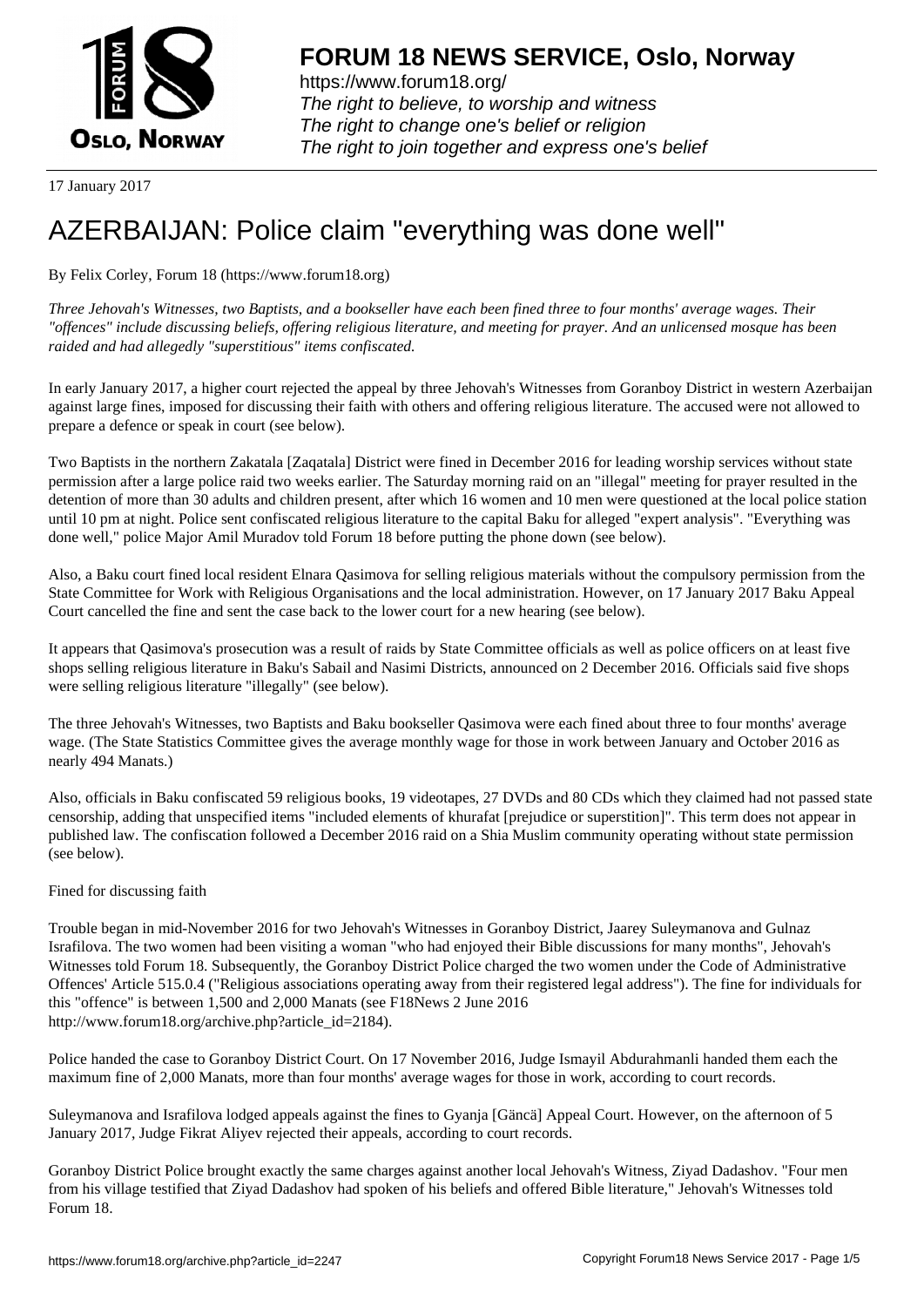

https://www.forum18.org/ The right to believe, to worship and witness The right to change one's belief or religion [The right to join together a](https://www.forum18.org/)nd express one's belief

17 January 2017

## [AZERBAIJAN: P](https://www.forum18.org)olice claim "everything was done well"

By Felix Corley, Forum 18 (https://www.forum18.org)

*Three Jehovah's Witnesses, two Baptists, and a bookseller have each been fined three to four months' average wages. Their "offences" include discussing beliefs, offering religious literature, and meeting for prayer. And an unlicensed mosque has been raided and had allegedly "superstitious" items confiscated.*

In early January 2017, a higher court rejected the appeal by three Jehovah's Witnesses from Goranboy District in western Azerbaijan against large fines, imposed for discussing their faith with others and offering religious literature. The accused were not allowed to prepare a defence or speak in court (see below).

Two Baptists in the northern Zakatala [Zaqatala] District were fined in December 2016 for leading worship services without state permission after a large police raid two weeks earlier. The Saturday morning raid on an "illegal" meeting for prayer resulted in the detention of more than 30 adults and children present, after which 16 women and 10 men were questioned at the local police station until 10 pm at night. Police sent confiscated religious literature to the capital Baku for alleged "expert analysis". "Everything was done well," police Major Amil Muradov told Forum 18 before putting the phone down (see below).

Also, a Baku court fined local resident Elnara Qasimova for selling religious materials without the compulsory permission from the State Committee for Work with Religious Organisations and the local administration. However, on 17 January 2017 Baku Appeal Court cancelled the fine and sent the case back to the lower court for a new hearing (see below).

It appears that Qasimova's prosecution was a result of raids by State Committee officials as well as police officers on at least five shops selling religious literature in Baku's Sabail and Nasimi Districts, announced on 2 December 2016. Officials said five shops were selling religious literature "illegally" (see below).

The three Jehovah's Witnesses, two Baptists and Baku bookseller Qasimova were each fined about three to four months' average wage. (The State Statistics Committee gives the average monthly wage for those in work between January and October 2016 as nearly 494 Manats.)

Also, officials in Baku confiscated 59 religious books, 19 videotapes, 27 DVDs and 80 CDs which they claimed had not passed state censorship, adding that unspecified items "included elements of khurafat [prejudice or superstition]". This term does not appear in published law. The confiscation followed a December 2016 raid on a Shia Muslim community operating without state permission (see below).

## Fined for discussing faith

Trouble began in mid-November 2016 for two Jehovah's Witnesses in Goranboy District, Jaarey Suleymanova and Gulnaz Israfilova. The two women had been visiting a woman "who had enjoyed their Bible discussions for many months", Jehovah's Witnesses told Forum 18. Subsequently, the Goranboy District Police charged the two women under the Code of Administrative Offences' Article 515.0.4 ("Religious associations operating away from their registered legal address"). The fine for individuals for this "offence" is between 1,500 and 2,000 Manats (see F18News 2 June 2016 http://www.forum18.org/archive.php?article\_id=2184).

Police handed the case to Goranboy District Court. On 17 November 2016, Judge Ismayil Abdurahmanli handed them each the maximum fine of 2,000 Manats, more than four months' average wages for those in work, according to court records.

Suleymanova and Israfilova lodged appeals against the fines to Gyanja [Gäncä] Appeal Court. However, on the afternoon of 5 January 2017, Judge Fikrat Aliyev rejected their appeals, according to court records.

Goranboy District Police brought exactly the same charges against another local Jehovah's Witness, Ziyad Dadashov. "Four men from his village testified that Ziyad Dadashov had spoken of his beliefs and offered Bible literature," Jehovah's Witnesses told Forum 18.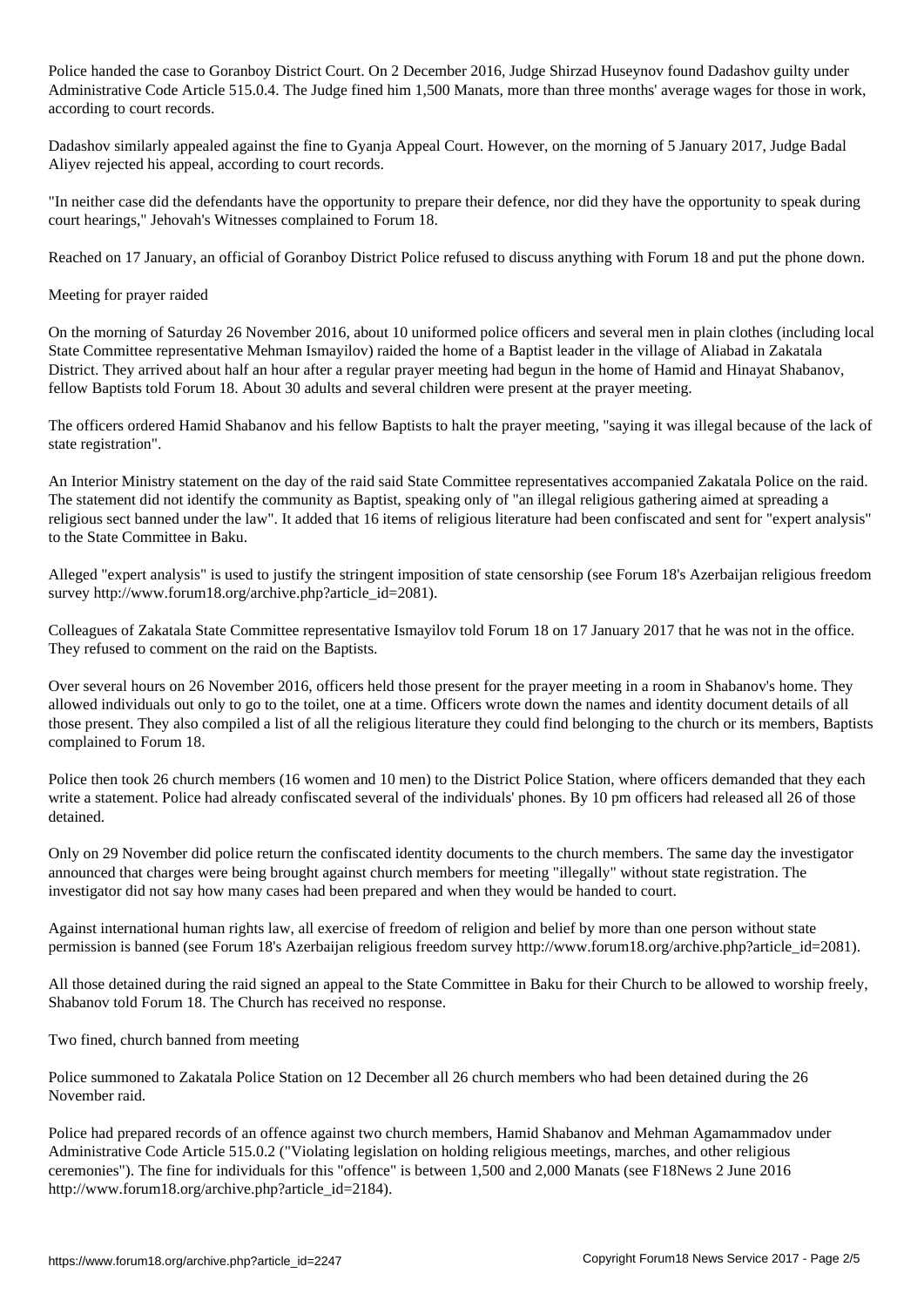Police handed the case to Goranboy District Court. On 2 December 2016, Judge Shirzad Huseynov found Dadashov guilty under Administrative Code Article 515.0.4. The Judge fined him 1,500 Manats, more than three months' average wages for those in work, according to court records.

Dadashov similarly appealed against the fine to Gyanja Appeal Court. However, on the morning of 5 January 2017, Judge Badal Aliyev rejected his appeal, according to court records.

"In neither case did the defendants have the opportunity to prepare their defence, nor did they have the opportunity to speak during court hearings," Jehovah's Witnesses complained to Forum 18.

Reached on 17 January, an official of Goranboy District Police refused to discuss anything with Forum 18 and put the phone down.

## Meeting for prayer raided

On the morning of Saturday 26 November 2016, about 10 uniformed police officers and several men in plain clothes (including local State Committee representative Mehman Ismayilov) raided the home of a Baptist leader in the village of Aliabad in Zakatala District. They arrived about half an hour after a regular prayer meeting had begun in the home of Hamid and Hinayat Shabanov, fellow Baptists told Forum 18. About 30 adults and several children were present at the prayer meeting.

The officers ordered Hamid Shabanov and his fellow Baptists to halt the prayer meeting, "saying it was illegal because of the lack of state registration".

An Interior Ministry statement on the day of the raid said State Committee representatives accompanied Zakatala Police on the raid. The statement did not identify the community as Baptist, speaking only of "an illegal religious gathering aimed at spreading a religious sect banned under the law". It added that 16 items of religious literature had been confiscated and sent for "expert analysis" to the State Committee in Baku.

Alleged "expert analysis" is used to justify the stringent imposition of state censorship (see Forum 18's Azerbaijan religious freedom survey http://www.forum18.org/archive.php?article\_id=2081).

Colleagues of Zakatala State Committee representative Ismayilov told Forum 18 on 17 January 2017 that he was not in the office. They refused to comment on the raid on the Baptists.

Over several hours on 26 November 2016, officers held those present for the prayer meeting in a room in Shabanov's home. They allowed individuals out only to go to the toilet, one at a time. Officers wrote down the names and identity document details of all those present. They also compiled a list of all the religious literature they could find belonging to the church or its members, Baptists complained to Forum 18.

Police then took 26 church members (16 women and 10 men) to the District Police Station, where officers demanded that they each write a statement. Police had already confiscated several of the individuals' phones. By 10 pm officers had released all 26 of those detained.

Only on 29 November did police return the confiscated identity documents to the church members. The same day the investigator announced that charges were being brought against church members for meeting "illegally" without state registration. The investigator did not say how many cases had been prepared and when they would be handed to court.

Against international human rights law, all exercise of freedom of religion and belief by more than one person without state permission is banned (see Forum 18's Azerbaijan religious freedom survey http://www.forum18.org/archive.php?article\_id=2081).

All those detained during the raid signed an appeal to the State Committee in Baku for their Church to be allowed to worship freely, Shabanov told Forum 18. The Church has received no response.

Two fined, church banned from meeting

Police summoned to Zakatala Police Station on 12 December all 26 church members who had been detained during the 26 November raid.

Police had prepared records of an offence against two church members, Hamid Shabanov and Mehman Agamammadov under Administrative Code Article 515.0.2 ("Violating legislation on holding religious meetings, marches, and other religious ceremonies"). The fine for individuals for this "offence" is between 1,500 and 2,000 Manats (see F18News 2 June 2016 http://www.forum18.org/archive.php?article\_id=2184).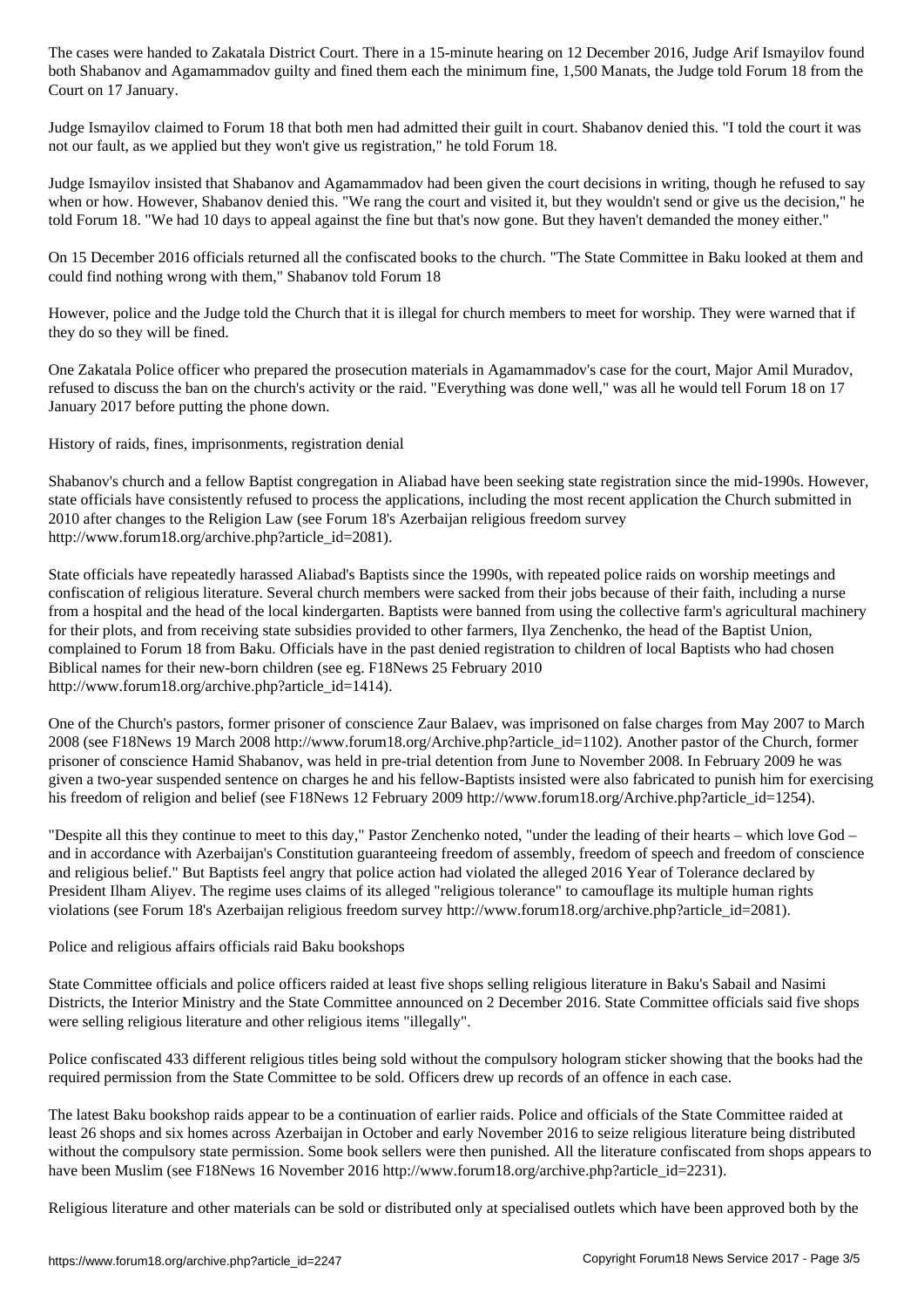both Shabanov and Agamammadov guilty and fined them each the minimum fine, 1,500 Manats, the Judge told Forum 18 from the Court on 17 January.

Judge Ismayilov claimed to Forum 18 that both men had admitted their guilt in court. Shabanov denied this. "I told the court it was not our fault, as we applied but they won't give us registration," he told Forum 18.

Judge Ismayilov insisted that Shabanov and Agamammadov had been given the court decisions in writing, though he refused to say when or how. However, Shabanov denied this. "We rang the court and visited it, but they wouldn't send or give us the decision," he told Forum 18. "We had 10 days to appeal against the fine but that's now gone. But they haven't demanded the money either."

On 15 December 2016 officials returned all the confiscated books to the church. "The State Committee in Baku looked at them and could find nothing wrong with them," Shabanov told Forum 18

However, police and the Judge told the Church that it is illegal for church members to meet for worship. They were warned that if they do so they will be fined.

One Zakatala Police officer who prepared the prosecution materials in Agamammadov's case for the court, Major Amil Muradov, refused to discuss the ban on the church's activity or the raid. "Everything was done well," was all he would tell Forum 18 on 17 January 2017 before putting the phone down.

History of raids, fines, imprisonments, registration denial

Shabanov's church and a fellow Baptist congregation in Aliabad have been seeking state registration since the mid-1990s. However, state officials have consistently refused to process the applications, including the most recent application the Church submitted in 2010 after changes to the Religion Law (see Forum 18's Azerbaijan religious freedom survey http://www.forum18.org/archive.php?article\_id=2081).

State officials have repeatedly harassed Aliabad's Baptists since the 1990s, with repeated police raids on worship meetings and confiscation of religious literature. Several church members were sacked from their jobs because of their faith, including a nurse from a hospital and the head of the local kindergarten. Baptists were banned from using the collective farm's agricultural machinery for their plots, and from receiving state subsidies provided to other farmers, Ilya Zenchenko, the head of the Baptist Union, complained to Forum 18 from Baku. Officials have in the past denied registration to children of local Baptists who had chosen Biblical names for their new-born children (see eg. F18News 25 February 2010 http://www.forum18.org/archive.php?article\_id=1414).

One of the Church's pastors, former prisoner of conscience Zaur Balaev, was imprisoned on false charges from May 2007 to March 2008 (see F18News 19 March 2008 http://www.forum18.org/Archive.php?article\_id=1102). Another pastor of the Church, former prisoner of conscience Hamid Shabanov, was held in pre-trial detention from June to November 2008. In February 2009 he was given a two-year suspended sentence on charges he and his fellow-Baptists insisted were also fabricated to punish him for exercising his freedom of religion and belief (see F18News 12 February 2009 http://www.forum18.org/Archive.php?article\_id=1254).

"Despite all this they continue to meet to this day," Pastor Zenchenko noted, "under the leading of their hearts – which love God – and in accordance with Azerbaijan's Constitution guaranteeing freedom of assembly, freedom of speech and freedom of conscience and religious belief." But Baptists feel angry that police action had violated the alleged 2016 Year of Tolerance declared by President Ilham Aliyev. The regime uses claims of its alleged "religious tolerance" to camouflage its multiple human rights violations (see Forum 18's Azerbaijan religious freedom survey http://www.forum18.org/archive.php?article\_id=2081).

Police and religious affairs officials raid Baku bookshops

State Committee officials and police officers raided at least five shops selling religious literature in Baku's Sabail and Nasimi Districts, the Interior Ministry and the State Committee announced on 2 December 2016. State Committee officials said five shops were selling religious literature and other religious items "illegally".

Police confiscated 433 different religious titles being sold without the compulsory hologram sticker showing that the books had the required permission from the State Committee to be sold. Officers drew up records of an offence in each case.

The latest Baku bookshop raids appear to be a continuation of earlier raids. Police and officials of the State Committee raided at least 26 shops and six homes across Azerbaijan in October and early November 2016 to seize religious literature being distributed without the compulsory state permission. Some book sellers were then punished. All the literature confiscated from shops appears to have been Muslim (see F18News 16 November 2016 http://www.forum18.org/archive.php?article\_id=2231).

Religious literature and other materials can be sold or distributed only at specialised outlets which have been approved both by the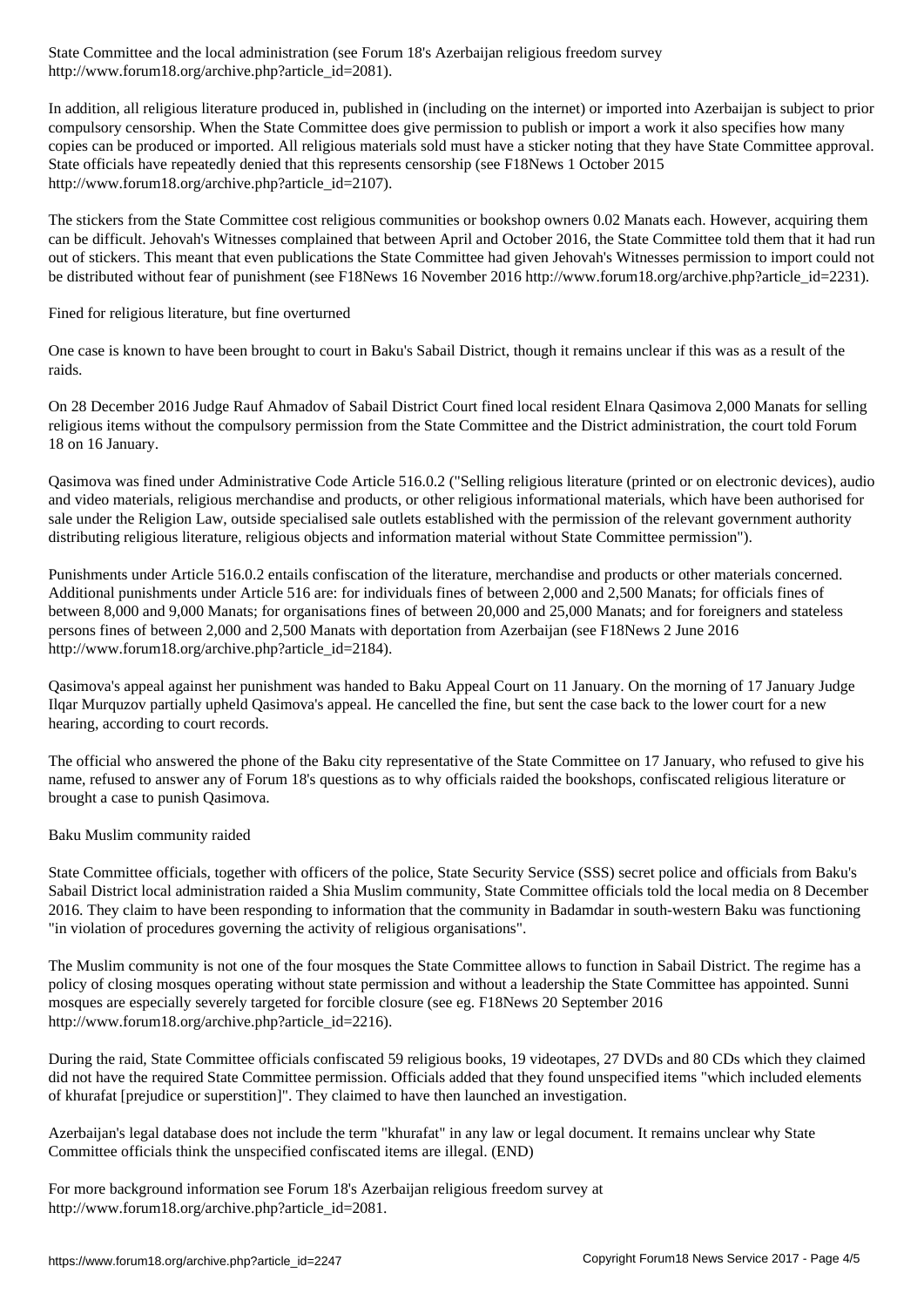http://www.forum18.org/archive.php?article\_id=2081).

In addition, all religious literature produced in, published in (including on the internet) or imported into Azerbaijan is subject to prior compulsory censorship. When the State Committee does give permission to publish or import a work it also specifies how many copies can be produced or imported. All religious materials sold must have a sticker noting that they have State Committee approval. State officials have repeatedly denied that this represents censorship (see F18News 1 October 2015 http://www.forum18.org/archive.php?article\_id=2107).

The stickers from the State Committee cost religious communities or bookshop owners 0.02 Manats each. However, acquiring them can be difficult. Jehovah's Witnesses complained that between April and October 2016, the State Committee told them that it had run out of stickers. This meant that even publications the State Committee had given Jehovah's Witnesses permission to import could not be distributed without fear of punishment (see F18News 16 November 2016 http://www.forum18.org/archive.php?article\_id=2231).

Fined for religious literature, but fine overturned

One case is known to have been brought to court in Baku's Sabail District, though it remains unclear if this was as a result of the raids.

On 28 December 2016 Judge Rauf Ahmadov of Sabail District Court fined local resident Elnara Qasimova 2,000 Manats for selling religious items without the compulsory permission from the State Committee and the District administration, the court told Forum 18 on 16 January.

Qasimova was fined under Administrative Code Article 516.0.2 ("Selling religious literature (printed or on electronic devices), audio and video materials, religious merchandise and products, or other religious informational materials, which have been authorised for sale under the Religion Law, outside specialised sale outlets established with the permission of the relevant government authority distributing religious literature, religious objects and information material without State Committee permission").

Punishments under Article 516.0.2 entails confiscation of the literature, merchandise and products or other materials concerned. Additional punishments under Article 516 are: for individuals fines of between 2,000 and 2,500 Manats; for officials fines of between 8,000 and 9,000 Manats; for organisations fines of between 20,000 and 25,000 Manats; and for foreigners and stateless persons fines of between 2,000 and 2,500 Manats with deportation from Azerbaijan (see F18News 2 June 2016 http://www.forum18.org/archive.php?article\_id=2184).

Qasimova's appeal against her punishment was handed to Baku Appeal Court on 11 January. On the morning of 17 January Judge Ilqar Murquzov partially upheld Qasimova's appeal. He cancelled the fine, but sent the case back to the lower court for a new hearing, according to court records.

The official who answered the phone of the Baku city representative of the State Committee on 17 January, who refused to give his name, refused to answer any of Forum 18's questions as to why officials raided the bookshops, confiscated religious literature or brought a case to punish Qasimova.

## Baku Muslim community raided

State Committee officials, together with officers of the police, State Security Service (SSS) secret police and officials from Baku's Sabail District local administration raided a Shia Muslim community, State Committee officials told the local media on 8 December 2016. They claim to have been responding to information that the community in Badamdar in south-western Baku was functioning "in violation of procedures governing the activity of religious organisations".

The Muslim community is not one of the four mosques the State Committee allows to function in Sabail District. The regime has a policy of closing mosques operating without state permission and without a leadership the State Committee has appointed. Sunni mosques are especially severely targeted for forcible closure (see eg. F18News 20 September 2016 http://www.forum18.org/archive.php?article\_id=2216).

During the raid, State Committee officials confiscated 59 religious books, 19 videotapes, 27 DVDs and 80 CDs which they claimed did not have the required State Committee permission. Officials added that they found unspecified items "which included elements of khurafat [prejudice or superstition]". They claimed to have then launched an investigation.

Azerbaijan's legal database does not include the term "khurafat" in any law or legal document. It remains unclear why State Committee officials think the unspecified confiscated items are illegal. (END)

For more background information see Forum 18's Azerbaijan religious freedom survey at http://www.forum18.org/archive.php?article\_id=2081.